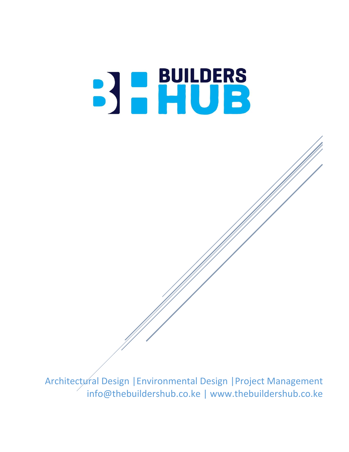# BUILDERS<br>BHUB

Architectural Design |Environmental Design |Project Management info@thebuildershub.co.ke | www.thebuildershub.co.ke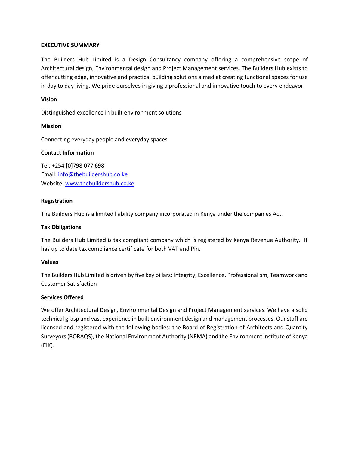# **EXECUTIVE SUMMARY**

The Builders Hub Limited is a Design Consultancy company offering a comprehensive scope of Architectural design, Environmental design and Project Management services. The Builders Hub exists to offer cutting edge, innovative and practical building solutions aimed at creating functional spaces for use in day to day living. We pride ourselves in giving a professional and innovative touch to every endeavor.

# **Vision**

Distinguished excellence in built environment solutions

## **Mission**

Connecting everyday people and everyday spaces

## **Contact Information**

Tel: +254 [0]798 077 698 Email: [info@thebuildershub.co.ke](mailto:info@thebuildershub.co.ke) Website[: www.thebuildershub.co.ke](http://www.thebuildershub.co.ke/)

# **Registration**

The Builders Hub is a limited liability company incorporated in Kenya under the companies Act.

# **Tax Obligations**

The Builders Hub Limited is tax compliant company which is registered by Kenya Revenue Authority. It has up to date tax compliance certificate for both VAT and Pin.

#### **Values**

The Builders Hub Limited is driven by five key pillars: Integrity, Excellence, Professionalism, Teamwork and Customer Satisfaction

# **Services Offered**

We offer Architectural Design, Environmental Design and Project Management services. We have a solid technical grasp and vast experience in built environment design and management processes. Our staff are licensed and registered with the following bodies: the Board of Registration of Architects and Quantity Surveyors (BORAQS), the National Environment Authority (NEMA) and the Environment Institute of Kenya (EIK).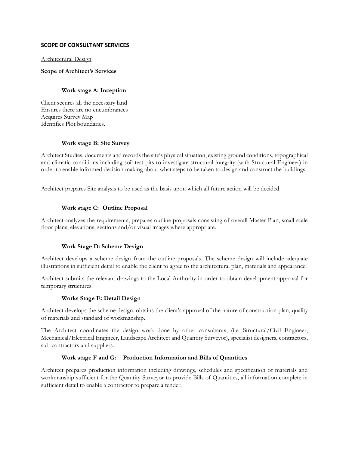## **SCOPE OF CONSULTANT SERVICES**

#### Architectural Design

#### **Scope of Architect's Services**

## **Work stage A: Inception**

Client secures all the necessary land Ensures there are no encumbrances Acquires Survey Map Identifies Plot boundaries.

## **Work stage B: Site Survey**

Architect Studies, documents and records the site's physical situation, existing ground conditions, topographical and climatic conditions including soil test pits to investigate structural integrity (with Structural Engineer) in order to enable informed decision making about what steps to be taken to design and construct the buildings.

Architect prepares Site analysis to be used as the basis upon which all future action will be decided.

## **Work stage C: Outline Proposal**

Architect analyzes the requirements; prepares outline proposals consisting of overall Master Plan, small scale floor plans, elevations, sections and/or visual images where appropriate.

# **Work Stage D: Scheme Design**

Architect develops a scheme design from the outline proposals. The scheme design will include adequate illustrations in sufficient detail to enable the client to agree to the architectural plan, materials and appearance.

Architect submits the relevant drawings to the Local Authority in order to obtain development approval for temporary structures.

#### **Works Stage E: Detail Design**

Architect develops the scheme design; obtains the client's approval of the nature of construction plan, quality of materials and standard of workmanship.

The Architect coordinates the design work done by other consultants, (i.e. Structural/Civil Engineer, Mechanical/Electrical Engineer, Landscape Architect and Quantity Surveyor), specialist designers, contractors, sub-contractors and suppliers.

#### **Work stage F and G: Production Information and Bills of Quantities**

Architect prepares production information including drawings, schedules and specification of materials and workmanship sufficient for the Quantity Surveyor to provide Bills of Quantities, all information complete in sufficient detail to enable a contractor to prepare a tender.